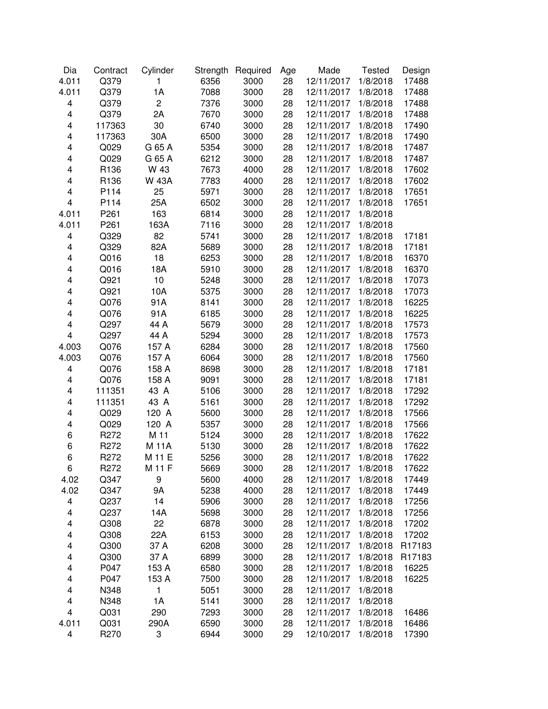| Dia                     | Contract | Cylinder       | Strength | Required | Age | Made       | <b>Tested</b> | Design |
|-------------------------|----------|----------------|----------|----------|-----|------------|---------------|--------|
| 4.011                   | Q379     | 1              | 6356     | 3000     | 28  | 12/11/2017 | 1/8/2018      | 17488  |
| 4.011                   | Q379     | 1A             | 7088     | 3000     | 28  | 12/11/2017 | 1/8/2018      | 17488  |
| 4                       | Q379     | $\overline{c}$ | 7376     | 3000     | 28  | 12/11/2017 | 1/8/2018      | 17488  |
| 4                       | Q379     | 2A             | 7670     | 3000     | 28  | 12/11/2017 | 1/8/2018      | 17488  |
| 4                       | 117363   | 30             | 6740     | 3000     | 28  | 12/11/2017 | 1/8/2018      | 17490  |
| 4                       | 117363   | 30A            | 6500     | 3000     | 28  | 12/11/2017 | 1/8/2018      | 17490  |
| 4                       | Q029     | G 65 A         | 5354     | 3000     | 28  | 12/11/2017 | 1/8/2018      | 17487  |
| 4                       | Q029     | G 65 A         | 6212     | 3000     | 28  | 12/11/2017 | 1/8/2018      | 17487  |
| 4                       | R136     | W 43           | 7673     | 4000     | 28  | 12/11/2017 | 1/8/2018      | 17602  |
| 4                       | R136     | <b>W 43A</b>   | 7783     | 4000     | 28  | 12/11/2017 | 1/8/2018      | 17602  |
| 4                       | P114     | 25             | 5971     | 3000     | 28  | 12/11/2017 | 1/8/2018      | 17651  |
| $\overline{\mathbf{4}}$ | P114     | 25A            | 6502     | 3000     | 28  | 12/11/2017 | 1/8/2018      | 17651  |
| 4.011                   | P261     | 163            | 6814     | 3000     | 28  | 12/11/2017 | 1/8/2018      |        |
| 4.011                   | P261     | 163A           | 7116     | 3000     | 28  | 12/11/2017 | 1/8/2018      |        |
| $\overline{\mathbf{4}}$ | Q329     | 82             | 5741     | 3000     | 28  | 12/11/2017 | 1/8/2018      | 17181  |
| 4                       | Q329     | 82A            | 5689     | 3000     | 28  | 12/11/2017 | 1/8/2018      | 17181  |
| 4                       | Q016     | 18             | 6253     | 3000     | 28  | 12/11/2017 | 1/8/2018      | 16370  |
| 4                       | Q016     | 18A            | 5910     | 3000     | 28  | 12/11/2017 | 1/8/2018      | 16370  |
| 4                       | Q921     | 10             | 5248     | 3000     | 28  | 12/11/2017 | 1/8/2018      | 17073  |
| 4                       | Q921     | 10A            | 5375     | 3000     | 28  | 12/11/2017 | 1/8/2018      | 17073  |
| 4                       | Q076     | 91A            | 8141     | 3000     | 28  | 12/11/2017 | 1/8/2018      | 16225  |
| 4                       | Q076     | 91A            | 6185     | 3000     | 28  | 12/11/2017 | 1/8/2018      | 16225  |
| 4                       | Q297     | 44 A           | 5679     | 3000     | 28  | 12/11/2017 | 1/8/2018      | 17573  |
| 4                       | Q297     | 44 A           | 5294     | 3000     | 28  | 12/11/2017 | 1/8/2018      | 17573  |
| 4.003                   | Q076     | 157 A          | 6284     | 3000     | 28  | 12/11/2017 | 1/8/2018      | 17560  |
| 4.003                   | Q076     | 157 A          | 6064     | 3000     | 28  | 12/11/2017 | 1/8/2018      | 17560  |
| 4                       | Q076     | 158 A          | 8698     | 3000     | 28  | 12/11/2017 | 1/8/2018      | 17181  |
| 4                       | Q076     | 158 A          | 9091     | 3000     | 28  | 12/11/2017 | 1/8/2018      | 17181  |
| 4                       | 111351   | 43 A           | 5106     | 3000     | 28  | 12/11/2017 | 1/8/2018      | 17292  |
| 4                       | 111351   | 43 A           | 5161     | 3000     | 28  | 12/11/2017 | 1/8/2018      | 17292  |
| 4                       | Q029     | 120 A          | 5600     | 3000     | 28  | 12/11/2017 | 1/8/2018      | 17566  |
| 4                       | Q029     | 120 A          | 5357     | 3000     | 28  | 12/11/2017 | 1/8/2018      | 17566  |
| 6                       | R272     | M 11           | 5124     | 3000     | 28  | 12/11/2017 | 1/8/2018      | 17622  |
| 6                       | R272     | M 11A          | 5130     | 3000     | 28  | 12/11/2017 | 1/8/2018      | 17622  |
| 6                       | R272     | M 11 E         | 5256     | 3000     | 28  | 12/11/2017 | 1/8/2018      | 17622  |
| 6                       | R272     | M 11 F         | 5669     | 3000     | 28  | 12/11/2017 | 1/8/2018      | 17622  |
| 4.02                    | Q347     | 9              | 5600     | 4000     | 28  | 12/11/2017 | 1/8/2018      | 17449  |
| 4.02                    | Q347     | 9A             | 5238     | 4000     | 28  | 12/11/2017 | 1/8/2018      | 17449  |
| 4                       | Q237     | 14             | 5906     | 3000     | 28  | 12/11/2017 | 1/8/2018      | 17256  |
| 4                       | Q237     | 14A            | 5698     | 3000     | 28  | 12/11/2017 | 1/8/2018      | 17256  |
| 4                       | Q308     | 22             | 6878     | 3000     | 28  | 12/11/2017 | 1/8/2018      | 17202  |
| 4                       | Q308     | 22A            | 6153     | 3000     | 28  | 12/11/2017 | 1/8/2018      | 17202  |
| 4                       | Q300     | 37 A           | 6208     | 3000     | 28  | 12/11/2017 | 1/8/2018      | R17183 |
| 4                       | Q300     | 37 A           | 6899     | 3000     | 28  | 12/11/2017 | 1/8/2018      | R17183 |
| 4                       | P047     | 153 A          | 6580     | 3000     | 28  | 12/11/2017 | 1/8/2018      | 16225  |
| 4                       | P047     | 153 A          | 7500     | 3000     | 28  | 12/11/2017 | 1/8/2018      | 16225  |
| 4                       | N348     | 1              | 5051     | 3000     | 28  | 12/11/2017 | 1/8/2018      |        |
| 4                       | N348     | 1A             | 5141     | 3000     | 28  | 12/11/2017 | 1/8/2018      |        |
| $\overline{\mathbf{4}}$ | Q031     | 290            | 7293     | 3000     | 28  | 12/11/2017 | 1/8/2018      | 16486  |
| 4.011                   | Q031     | 290A           | 6590     | 3000     | 28  | 12/11/2017 | 1/8/2018      | 16486  |
| $\overline{\mathbf{4}}$ | R270     | 3              | 6944     | 3000     | 29  | 12/10/2017 | 1/8/2018      | 17390  |
|                         |          |                |          |          |     |            |               |        |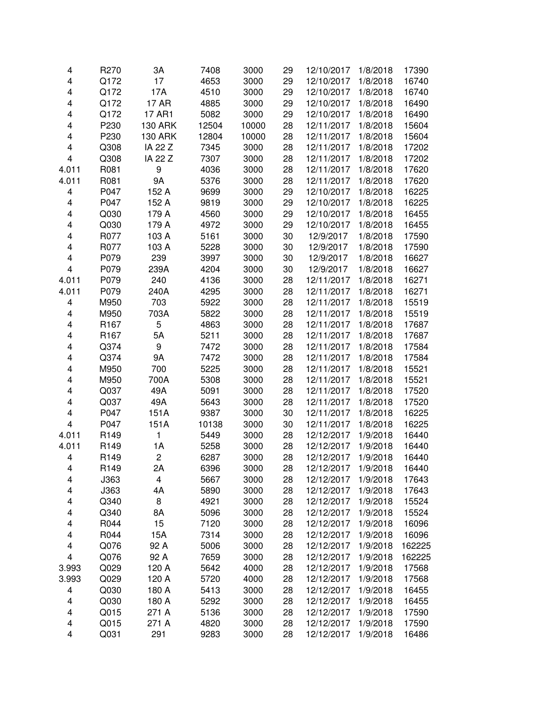| 4                       | R270                     | 3A             | 7408         | 3000         | 29       | 12/10/2017               | 1/8/2018             | 17390          |
|-------------------------|--------------------------|----------------|--------------|--------------|----------|--------------------------|----------------------|----------------|
| 4                       | Q172                     | 17             | 4653         | 3000         | 29       | 12/10/2017               | 1/8/2018             | 16740          |
| 4                       | Q172                     | 17A            | 4510         | 3000         | 29       | 12/10/2017               | 1/8/2018             | 16740          |
| 4                       | Q172                     | 17 AR          | 4885         | 3000         | 29       | 12/10/2017               | 1/8/2018             | 16490          |
| 4                       | Q172                     | 17 AR1         | 5082         | 3000         | 29       | 12/10/2017               | 1/8/2018             | 16490          |
| 4                       | P230                     | <b>130 ARK</b> | 12504        | 10000        | 28       | 12/11/2017               | 1/8/2018             | 15604          |
| 4                       | P230                     | <b>130 ARK</b> | 12804        | 10000        | 28       | 12/11/2017               | 1/8/2018             | 15604          |
| 4                       | Q308                     | IA 22 Z        | 7345         | 3000         | 28       | 12/11/2017               | 1/8/2018             | 17202          |
| 4                       | Q308                     | IA 22 Z        | 7307         | 3000         | 28       | 12/11/2017               | 1/8/2018             | 17202          |
| 4.011                   | R081                     | 9              | 4036         | 3000         | 28       | 12/11/2017               | 1/8/2018             | 17620          |
| 4.011                   | R081                     | 9A             | 5376         | 3000         | 28       | 12/11/2017               | 1/8/2018             | 17620          |
| 4                       | P047                     | 152 A          | 9699         | 3000         | 29       | 12/10/2017               | 1/8/2018             | 16225          |
| $\overline{\mathbf{4}}$ | P047                     | 152 A          | 9819         | 3000         | 29       | 12/10/2017               | 1/8/2018             | 16225          |
| 4                       | Q030                     | 179 A          | 4560         | 3000         | 29       | 12/10/2017               | 1/8/2018             | 16455          |
| $\overline{\mathbf{4}}$ | Q030                     | 179 A          | 4972         | 3000         | 29       | 12/10/2017               | 1/8/2018             | 16455          |
| 4                       | R077                     | 103 A          | 5161         | 3000         | 30       | 12/9/2017                | 1/8/2018             | 17590          |
| 4                       | R077                     | 103 A          | 5228         | 3000         | 30       | 12/9/2017                | 1/8/2018             | 17590          |
| 4                       | P079                     | 239            | 3997         | 3000         | 30       | 12/9/2017                | 1/8/2018             | 16627          |
| $\overline{\mathbf{4}}$ | P079                     | 239A           | 4204         | 3000         | 30       | 12/9/2017                | 1/8/2018             | 16627          |
| 4.011                   | P079                     | 240            | 4136         | 3000         | 28       | 12/11/2017               | 1/8/2018             | 16271          |
| 4.011                   | P079                     | 240A           | 4295         | 3000         | 28       | 12/11/2017               | 1/8/2018             | 16271          |
| 4                       | M950                     | 703            | 5922         | 3000         | 28       | 12/11/2017               | 1/8/2018             | 15519          |
| 4                       | M950                     | 703A           | 5822         | 3000         | 28       | 12/11/2017               | 1/8/2018             | 15519          |
| 4                       | R167                     | 5              | 4863         | 3000         | 28       | 12/11/2017               | 1/8/2018             | 17687          |
| 4                       | R167                     | 5A             | 5211         | 3000         | 28       | 12/11/2017               | 1/8/2018             | 17687          |
| 4                       | Q374                     | 9              | 7472         | 3000         | 28       | 12/11/2017               | 1/8/2018             | 17584          |
| 4                       | Q374                     | 9A             | 7472         | 3000         | 28       | 12/11/2017               | 1/8/2018             | 17584          |
| 4                       | M950                     | 700            | 5225         | 3000         | 28       | 12/11/2017               | 1/8/2018             | 15521          |
| 4                       | M950                     | 700A           | 5308         | 3000         | 28       | 12/11/2017               | 1/8/2018             | 15521          |
| 4                       | Q037                     | 49A            | 5091         | 3000         | 28       | 12/11/2017               | 1/8/2018             | 17520          |
| 4                       | Q037                     | 49A            | 5643         | 3000         | 28       | 12/11/2017               | 1/8/2018             | 17520          |
| 4                       | P047                     | 151A           | 9387         | 3000         | 30       | 12/11/2017               | 1/8/2018             | 16225          |
| $\overline{\mathbf{4}}$ | P047                     | 151A           | 10138        | 3000         | 30       | 12/11/2017               | 1/8/2018             | 16225          |
| 4.011                   | R149                     | 1              | 5449         | 3000         | 28       | 12/12/2017               | 1/9/2018             | 16440          |
| 4.011                   | R149                     | 1A             | 5258         | 3000         | 28       | 12/12/2017               | 1/9/2018             | 16440          |
| $\overline{\mathbf{4}}$ | R149                     | 2              | 6287         | 3000         | 28       | 12/12/2017               | 1/9/2018             | 16440          |
|                         |                          |                |              |              |          | 12/12/2017               |                      | 16440          |
| 4<br>4                  | R <sub>149</sub><br>J363 | 2Α<br>4        | 6396<br>5667 | 3000<br>3000 | 28<br>28 | 12/12/2017               | 1/9/2018<br>1/9/2018 | 17643          |
| 4                       | J363                     | 4A             | 5890         | 3000         | 28       | 12/12/2017               | 1/9/2018             | 17643          |
| 4                       | Q340                     | 8              | 4921         | 3000         | 28       | 12/12/2017               | 1/9/2018             |                |
| 4                       | Q340                     | 8A             | 5096         | 3000         | 28       | 12/12/2017               | 1/9/2018             | 15524<br>15524 |
|                         | R044                     | 15             | 7120         | 3000         | 28       |                          |                      | 16096          |
| 4                       | R044                     |                |              |              |          | 12/12/2017               | 1/9/2018<br>1/9/2018 | 16096          |
| 4                       | Q076                     | 15A<br>92 A    | 7314<br>5006 | 3000<br>3000 | 28       | 12/12/2017<br>12/12/2017 | 1/9/2018             |                |
| 4<br>4                  |                          | 92 A           |              | 3000         | 28<br>28 |                          |                      | 162225         |
| 3.993                   | Q076                     | 120 A          | 7659         |              | 28       | 12/12/2017<br>12/12/2017 | 1/9/2018<br>1/9/2018 | 162225         |
|                         | Q029                     |                | 5642         | 4000<br>4000 |          |                          |                      | 17568          |
| 3.993                   | Q029                     | 120 A          | 5720         |              | 28       | 12/12/2017               | 1/9/2018             | 17568          |
| 4                       | Q030                     | 180 A          | 5413         | 3000         | 28       | 12/12/2017               | 1/9/2018             | 16455          |
| 4                       | Q030                     | 180 A          | 5292         | 3000         | 28       | 12/12/2017               | 1/9/2018             | 16455          |
| 4                       | Q015                     | 271 A          | 5136         | 3000         | 28       | 12/12/2017               | 1/9/2018             | 17590          |
| 4                       | Q015                     | 271 A          | 4820         | 3000         | 28       | 12/12/2017               | 1/9/2018             | 17590          |
| 4                       | Q031                     | 291            | 9283         | 3000         | 28       | 12/12/2017               | 1/9/2018             | 16486          |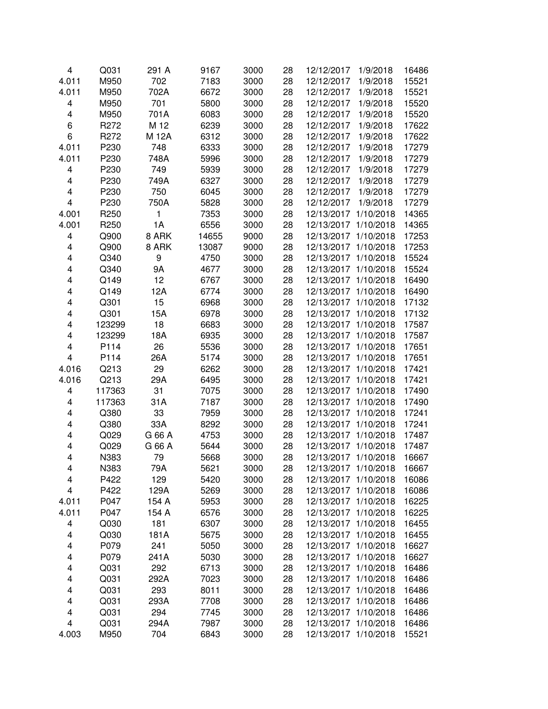| 4                       | Q031             | 291 A        | 9167  | 3000 | 28 | 12/12/2017           | 1/9/2018  | 16486 |
|-------------------------|------------------|--------------|-------|------|----|----------------------|-----------|-------|
| 4.011                   | M950             | 702          | 7183  | 3000 | 28 | 12/12/2017           | 1/9/2018  | 15521 |
| 4.011                   | M950             | 702A         | 6672  | 3000 | 28 | 12/12/2017           | 1/9/2018  | 15521 |
| 4                       | M950             | 701          | 5800  | 3000 | 28 | 12/12/2017           | 1/9/2018  | 15520 |
| 4                       | M950             | 701A         | 6083  | 3000 | 28 | 12/12/2017           | 1/9/2018  | 15520 |
| 6                       | R272             | M 12         | 6239  | 3000 | 28 | 12/12/2017           | 1/9/2018  | 17622 |
| 6                       | R272             | M 12A        | 6312  | 3000 | 28 | 12/12/2017           | 1/9/2018  | 17622 |
| 4.011                   | P230             | 748          | 6333  | 3000 | 28 | 12/12/2017           | 1/9/2018  | 17279 |
| 4.011                   | P230             | 748A         | 5996  | 3000 | 28 | 12/12/2017           | 1/9/2018  | 17279 |
| 4                       | P230             | 749          | 5939  | 3000 | 28 | 12/12/2017           | 1/9/2018  | 17279 |
| $\overline{\mathbf{4}}$ | P230             | 749A         | 6327  | 3000 | 28 | 12/12/2017           | 1/9/2018  | 17279 |
| $\overline{\mathbf{4}}$ | P230             | 750          | 6045  | 3000 | 28 | 12/12/2017           | 1/9/2018  | 17279 |
| $\overline{\mathbf{4}}$ | P230             | 750A         | 5828  | 3000 | 28 | 12/12/2017           | 1/9/2018  | 17279 |
| 4.001                   | R <sub>250</sub> | $\mathbf{1}$ | 7353  | 3000 | 28 | 12/13/2017 1/10/2018 |           | 14365 |
| 4.001                   | R <sub>250</sub> | 1A           | 6556  | 3000 | 28 | 12/13/2017 1/10/2018 |           | 14365 |
| 4                       | Q900             | 8 ARK        | 14655 | 9000 | 28 | 12/13/2017 1/10/2018 |           | 17253 |
| 4                       | Q900             | 8 ARK        | 13087 | 9000 | 28 | 12/13/2017 1/10/2018 |           | 17253 |
| 4                       | Q340             | 9            | 4750  | 3000 | 28 | 12/13/2017           | 1/10/2018 | 15524 |
| 4                       | Q340             | 9A           | 4677  | 3000 | 28 | 12/13/2017           | 1/10/2018 | 15524 |
| 4                       | Q149             | 12           | 6767  | 3000 | 28 | 12/13/2017           | 1/10/2018 | 16490 |
| 4                       | Q149             | 12A          | 6774  | 3000 | 28 | 12/13/2017           | 1/10/2018 | 16490 |
| 4                       | Q301             | 15           | 6968  | 3000 | 28 | 12/13/2017           | 1/10/2018 | 17132 |
| 4                       | Q301             | 15A          | 6978  | 3000 | 28 | 12/13/2017           | 1/10/2018 | 17132 |
| 4                       | 123299           | 18           | 6683  | 3000 | 28 | 12/13/2017           | 1/10/2018 | 17587 |
| 4                       | 123299           | 18A          | 6935  | 3000 | 28 | 12/13/2017           | 1/10/2018 | 17587 |
| 4                       | P114             | 26           | 5536  | 3000 | 28 | 12/13/2017           | 1/10/2018 | 17651 |
| 4                       | P114             | 26A          | 5174  | 3000 | 28 | 12/13/2017 1/10/2018 |           | 17651 |
| 4.016                   | Q213             | 29           | 6262  | 3000 | 28 | 12/13/2017           | 1/10/2018 | 17421 |
| 4.016                   | Q213             | 29A          | 6495  | 3000 | 28 | 12/13/2017 1/10/2018 |           | 17421 |
| 4                       | 117363           | 31           | 7075  | 3000 | 28 | 12/13/2017 1/10/2018 |           | 17490 |
| 4                       | 117363           | 31A          | 7187  | 3000 | 28 | 12/13/2017 1/10/2018 |           | 17490 |
| 4                       | Q380             | 33           | 7959  | 3000 | 28 | 12/13/2017 1/10/2018 |           | 17241 |
| 4                       | Q380             | 33A          | 8292  | 3000 | 28 | 12/13/2017 1/10/2018 |           | 17241 |
| 4                       | Q029             | G 66 A       | 4753  | 3000 | 28 | 12/13/2017 1/10/2018 |           | 17487 |
| 4                       | Q029             | G 66 A       | 5644  | 3000 | 28 | 12/13/2017           | 1/10/2018 | 17487 |
| 4                       | N383             | 79           | 5668  | 3000 | 28 | 12/13/2017 1/10/2018 |           | 16667 |
| 4                       | N383             | 79A          | 5621  | 3000 | 28 | 12/13/2017           | 1/10/2018 | 16667 |
| 4                       | P422             | 129          | 5420  | 3000 | 28 | 12/13/2017           | 1/10/2018 | 16086 |
| 4                       | P422             | 129A         | 5269  | 3000 | 28 | 12/13/2017           | 1/10/2018 | 16086 |
| 4.011                   | P047             | 154 A        | 5953  | 3000 | 28 | 12/13/2017           | 1/10/2018 | 16225 |
| 4.011                   | P047             | 154 A        | 6576  | 3000 | 28 | 12/13/2017           | 1/10/2018 | 16225 |
| 4                       | Q030             | 181          | 6307  | 3000 | 28 | 12/13/2017 1/10/2018 |           | 16455 |
| 4                       | Q030             | 181A         | 5675  | 3000 | 28 | 12/13/2017 1/10/2018 |           | 16455 |
| 4                       | P079             | 241          | 5050  | 3000 | 28 | 12/13/2017 1/10/2018 |           | 16627 |
| 4                       | P079             | 241A         | 5030  | 3000 | 28 | 12/13/2017 1/10/2018 |           | 16627 |
| 4                       | Q031             | 292          | 6713  | 3000 | 28 | 12/13/2017 1/10/2018 |           | 16486 |
| 4                       | Q031             | 292A         | 7023  | 3000 | 28 | 12/13/2017 1/10/2018 |           | 16486 |
| 4                       | Q031             | 293          | 8011  | 3000 | 28 | 12/13/2017 1/10/2018 |           | 16486 |
| 4                       | Q031             | 293A         | 7708  | 3000 | 28 | 12/13/2017 1/10/2018 |           | 16486 |
| 4                       | Q031             | 294          | 7745  | 3000 | 28 | 12/13/2017 1/10/2018 |           | 16486 |
| 4                       | Q031             | 294A         | 7987  | 3000 | 28 | 12/13/2017 1/10/2018 |           |       |
|                         |                  | 704          |       |      |    |                      |           | 16486 |
| 4.003                   | M950             |              | 6843  | 3000 | 28 | 12/13/2017 1/10/2018 |           | 15521 |